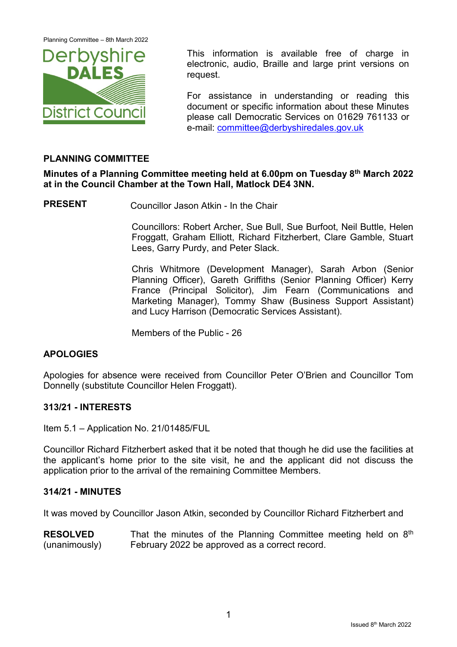Planning Committee – 8th March 2022



This information is available free of charge in electronic, audio, Braille and large print versions on request.

For assistance in understanding or reading this document or specific information about these Minutes please call Democratic Services on 01629 761133 or e-mail: [committee@derbyshiredales.gov.uk](mailto:committee@derbyshiredales.gov.uk)

# **PLANNING COMMITTEE**

**Minutes of a Planning Committee meeting held at 6.00pm on Tuesday 8th March 2022 at in the Council Chamber at the Town Hall, Matlock DE4 3NN.**

**PRESENT** Councillor Jason Atkin - In the Chair

Councillors: Robert Archer, Sue Bull, Sue Burfoot, Neil Buttle, Helen Froggatt, Graham Elliott, Richard Fitzherbert, Clare Gamble, Stuart Lees, Garry Purdy, and Peter Slack.

Chris Whitmore (Development Manager), Sarah Arbon (Senior Planning Officer), Gareth Griffiths (Senior Planning Officer) Kerry France (Principal Solicitor), Jim Fearn (Communications and Marketing Manager), Tommy Shaw (Business Support Assistant) and Lucy Harrison (Democratic Services Assistant).

Members of the Public - 26

## **APOLOGIES**

Apologies for absence were received from Councillor Peter O'Brien and Councillor Tom Donnelly (substitute Councillor Helen Froggatt).

## **313/21 - INTERESTS**

Item 5.1 – Application No. 21/01485/FUL

Councillor Richard Fitzherbert asked that it be noted that though he did use the facilities at the applicant's home prior to the site visit, he and the applicant did not discuss the application prior to the arrival of the remaining Committee Members.

#### **314/21 - MINUTES**

It was moved by Councillor Jason Atkin, seconded by Councillor Richard Fitzherbert and

**RESOLVED** (unanimously) That the minutes of the Planning Committee meeting held on  $8<sup>th</sup>$ February 2022 be approved as a correct record.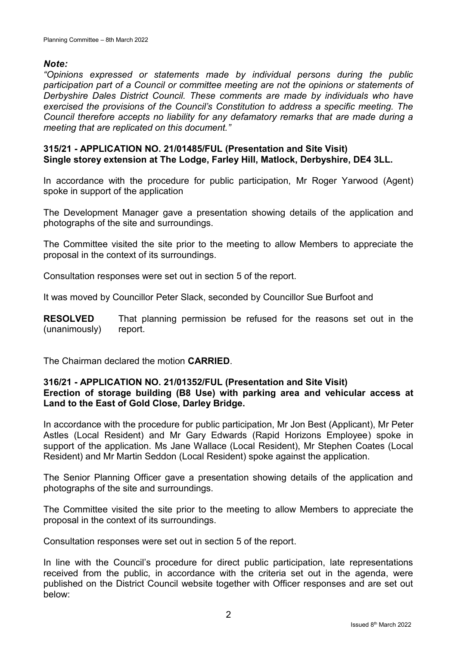# *Note:*

*"Opinions expressed or statements made by individual persons during the public participation part of a Council or committee meeting are not the opinions or statements of Derbyshire Dales District Council. These comments are made by individuals who have exercised the provisions of the Council's Constitution to address a specific meeting. The Council therefore accepts no liability for any defamatory remarks that are made during a meeting that are replicated on this document."*

## **315/21 - APPLICATION NO. 21/01485/FUL (Presentation and Site Visit) Single storey extension at The Lodge, Farley Hill, Matlock, Derbyshire, DE4 3LL.**

In accordance with the procedure for public participation, Mr Roger Yarwood (Agent) spoke in support of the application

The Development Manager gave a presentation showing details of the application and photographs of the site and surroundings.

The Committee visited the site prior to the meeting to allow Members to appreciate the proposal in the context of its surroundings.

Consultation responses were set out in section 5 of the report.

It was moved by Councillor Peter Slack, seconded by Councillor Sue Burfoot and

**RESOLVED** (unanimously) That planning permission be refused for the reasons set out in the report.

The Chairman declared the motion **CARRIED**.

# **316/21 - APPLICATION NO. 21/01352/FUL (Presentation and Site Visit) Erection of storage building (B8 Use) with parking area and vehicular access at Land to the East of Gold Close, Darley Bridge.**

In accordance with the procedure for public participation, Mr Jon Best (Applicant), Mr Peter Astles (Local Resident) and Mr Gary Edwards (Rapid Horizons Employee) spoke in support of the application. Ms Jane Wallace (Local Resident), Mr Stephen Coates (Local Resident) and Mr Martin Seddon (Local Resident) spoke against the application.

The Senior Planning Officer gave a presentation showing details of the application and photographs of the site and surroundings.

The Committee visited the site prior to the meeting to allow Members to appreciate the proposal in the context of its surroundings.

Consultation responses were set out in section 5 of the report.

In line with the Council's procedure for direct public participation, late representations received from the public, in accordance with the criteria set out in the agenda, were published on the District Council website together with Officer responses and are set out below: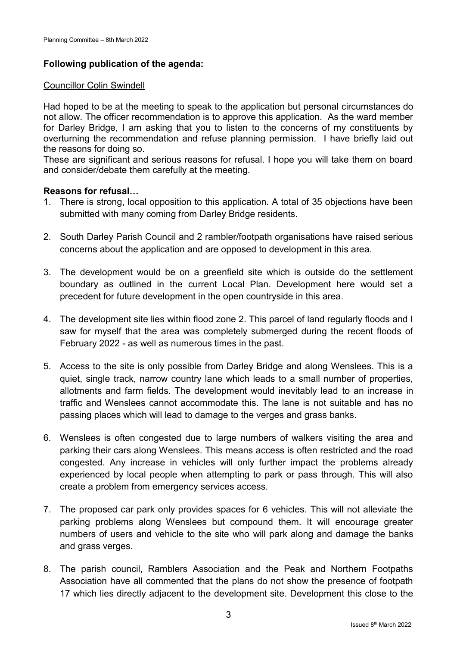# **Following publication of the agenda:**

## Councillor Colin Swindell

Had hoped to be at the meeting to speak to the application but personal circumstances do not allow. The officer recommendation is to approve this application. As the ward member for Darley Bridge, I am asking that you to listen to the concerns of my constituents by overturning the recommendation and refuse planning permission. I have briefly laid out the reasons for doing so.

These are significant and serious reasons for refusal. I hope you will take them on board and consider/debate them carefully at the meeting.

# **Reasons for refusal…**

- 1. There is strong, local opposition to this application. A total of 35 objections have been submitted with many coming from Darley Bridge residents.
- 2. South Darley Parish Council and 2 rambler/footpath organisations have raised serious concerns about the application and are opposed to development in this area.
- 3. The development would be on a greenfield site which is outside do the settlement boundary as outlined in the current Local Plan. Development here would set a precedent for future development in the open countryside in this area.
- 4. The development site lies within flood zone 2. This parcel of land regularly floods and I saw for myself that the area was completely submerged during the recent floods of February 2022 - as well as numerous times in the past.
- 5. Access to the site is only possible from Darley Bridge and along Wenslees. This is a quiet, single track, narrow country lane which leads to a small number of properties, allotments and farm fields. The development would inevitably lead to an increase in traffic and Wenslees cannot accommodate this. The lane is not suitable and has no passing places which will lead to damage to the verges and grass banks.
- 6. Wenslees is often congested due to large numbers of walkers visiting the area and parking their cars along Wenslees. This means access is often restricted and the road congested. Any increase in vehicles will only further impact the problems already experienced by local people when attempting to park or pass through. This will also create a problem from emergency services access.
- 7. The proposed car park only provides spaces for 6 vehicles. This will not alleviate the parking problems along Wenslees but compound them. It will encourage greater numbers of users and vehicle to the site who will park along and damage the banks and grass verges.
- 8. The parish council, Ramblers Association and the Peak and Northern Footpaths Association have all commented that the plans do not show the presence of footpath 17 which lies directly adjacent to the development site. Development this close to the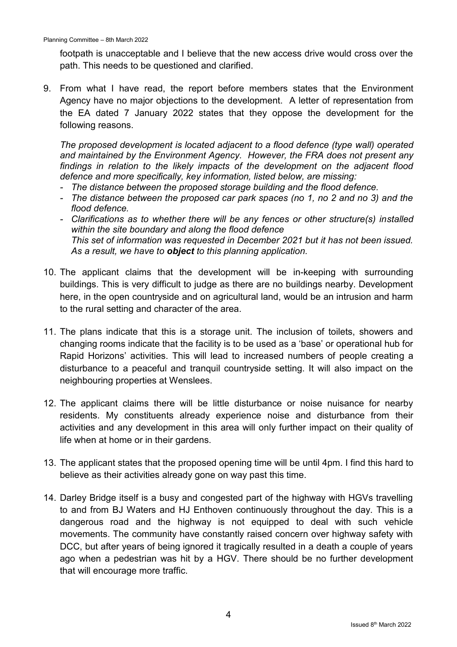footpath is unacceptable and I believe that the new access drive would cross over the path. This needs to be questioned and clarified.

9. From what I have read, the report before members states that the Environment Agency have no major objections to the development. A letter of representation from the EA dated 7 January 2022 states that they oppose the development for the following reasons.

*The proposed development is located adjacent to a flood defence (type wall) operated and maintained by the Environment Agency. However, the FRA does not present any findings in relation to the likely impacts of the development on the adjacent flood defence and more specifically, key information, listed below, are missing:*

- *- The distance between the proposed storage building and the flood defence.*
- *- The distance between the proposed car park spaces (no 1, no 2 and no 3) and the flood defence.*
- *- Clarifications as to whether there will be any fences or other structure(s) installed within the site boundary and along the flood defence This set of information was requested in December 2021 but it has not been issued. As a result, we have to object to this planning application.*
- 10. The applicant claims that the development will be in-keeping with surrounding buildings. This is very difficult to judge as there are no buildings nearby. Development here, in the open countryside and on agricultural land, would be an intrusion and harm to the rural setting and character of the area.
- 11. The plans indicate that this is a storage unit. The inclusion of toilets, showers and changing rooms indicate that the facility is to be used as a 'base' or operational hub for Rapid Horizons' activities. This will lead to increased numbers of people creating a disturbance to a peaceful and tranquil countryside setting. It will also impact on the neighbouring properties at Wenslees.
- 12. The applicant claims there will be little disturbance or noise nuisance for nearby residents. My constituents already experience noise and disturbance from their activities and any development in this area will only further impact on their quality of life when at home or in their gardens.
- 13. The applicant states that the proposed opening time will be until 4pm. I find this hard to believe as their activities already gone on way past this time.
- 14. Darley Bridge itself is a busy and congested part of the highway with HGVs travelling to and from BJ Waters and HJ Enthoven continuously throughout the day. This is a dangerous road and the highway is not equipped to deal with such vehicle movements. The community have constantly raised concern over highway safety with DCC, but after years of being ignored it tragically resulted in a death a couple of years ago when a pedestrian was hit by a HGV. There should be no further development that will encourage more traffic.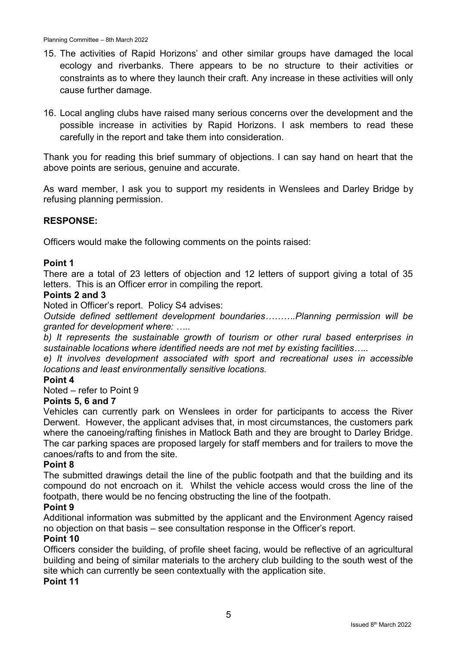- 15. The activities of Rapid Horizons' and other similar groups have damaged the local ecology and riverbanks. There appears to be no structure to their activities or constraints as to where they launch their craft. Any increase in these activities will only cause further damage.
- 16. Local angling clubs have raised many serious concerns over the development and the possible increase in activities by Rapid Horizons. I ask members to read these carefully in the report and take them into consideration.

Thank you for reading this brief summary of objections. I can say hand on heart that the above points are serious, genuine and accurate.

As ward member, I ask you to support my residents in Wenslees and Darley Bridge by refusing planning permission.

# **RESPONSE:**

Officers would make the following comments on the points raised:

## **Point 1**

There are a total of 23 letters of objection and 12 letters of support giving a total of 35 letters. This is an Officer error in compiling the report.

#### **Points 2 and 3**

Noted in Officer's report. Policy S4 advises:

*Outside defined settlement development boundaries……….Planning permission will be granted for development where: …..*

*b) It represents the sustainable growth of tourism or other rural based enterprises in sustainable locations where identified needs are not met by existing facilities…..*

*e) It involves development associated with sport and recreational uses in accessible locations and least environmentally sensitive locations.*

#### **Point 4**

Noted – refer to Point 9

#### **Points 5, 6 and 7**

Vehicles can currently park on Wenslees in order for participants to access the River Derwent. However, the applicant advises that, in most circumstances, the customers park where the canoeing/rafting finishes in Matlock Bath and they are brought to Darley Bridge. The car parking spaces are proposed largely for staff members and for trailers to move the canoes/rafts to and from the site.

#### **Point 8**

The submitted drawings detail the line of the public footpath and that the building and its compound do not encroach on it. Whilst the vehicle access would cross the line of the footpath, there would be no fencing obstructing the line of the footpath.

#### **Point 9**

Additional information was submitted by the applicant and the Environment Agency raised no objection on that basis – see consultation response in the Officer's report.

#### **Point 10**

Officers consider the building, of profile sheet facing, would be reflective of an agricultural building and being of similar materials to the archery club building to the south west of the site which can currently be seen contextually with the application site.

#### **Point 11**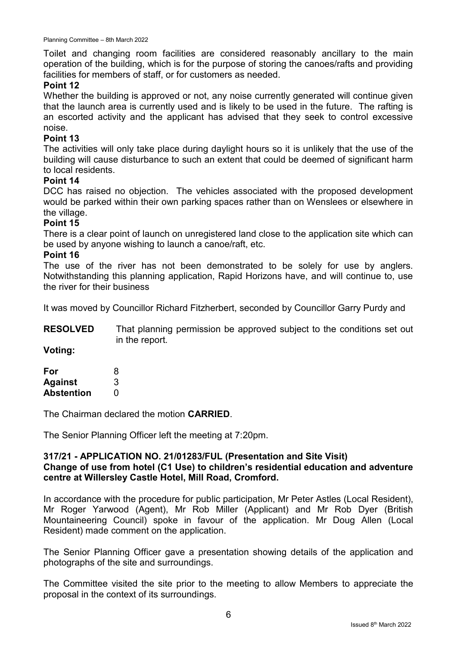Toilet and changing room facilities are considered reasonably ancillary to the main operation of the building, which is for the purpose of storing the canoes/rafts and providing facilities for members of staff, or for customers as needed.

## **Point 12**

Whether the building is approved or not, any noise currently generated will continue given that the launch area is currently used and is likely to be used in the future. The rafting is an escorted activity and the applicant has advised that they seek to control excessive noise.

### **Point 13**

The activities will only take place during daylight hours so it is unlikely that the use of the building will cause disturbance to such an extent that could be deemed of significant harm to local residents.

### **Point 14**

DCC has raised no objection. The vehicles associated with the proposed development would be parked within their own parking spaces rather than on Wenslees or elsewhere in the village.

### **Point 15**

There is a clear point of launch on unregistered land close to the application site which can be used by anyone wishing to launch a canoe/raft, etc.

#### **Point 16**

The use of the river has not been demonstrated to be solely for use by anglers. Notwithstanding this planning application, Rapid Horizons have, and will continue to, use the river for their business

It was moved by Councillor Richard Fitzherbert, seconded by Councillor Garry Purdy and

**RESOLVED** That planning permission be approved subject to the conditions set out in the report.

**Voting:**

| For               | 8 |
|-------------------|---|
| <b>Against</b>    | 3 |
| <b>Abstention</b> | O |

The Chairman declared the motion **CARRIED**.

The Senior Planning Officer left the meeting at 7:20pm.

### **317/21 - APPLICATION NO. 21/01283/FUL (Presentation and Site Visit) Change of use from hotel (C1 Use) to children's residential education and adventure centre at Willersley Castle Hotel, Mill Road, Cromford.**

In accordance with the procedure for public participation, Mr Peter Astles (Local Resident), Mr Roger Yarwood (Agent), Mr Rob Miller (Applicant) and Mr Rob Dyer (British Mountaineering Council) spoke in favour of the application. Mr Doug Allen (Local Resident) made comment on the application.

The Senior Planning Officer gave a presentation showing details of the application and photographs of the site and surroundings.

The Committee visited the site prior to the meeting to allow Members to appreciate the proposal in the context of its surroundings.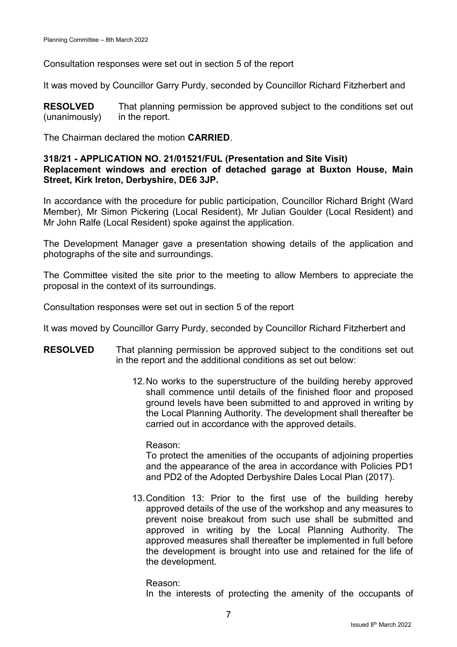Consultation responses were set out in section 5 of the report

It was moved by Councillor Garry Purdy, seconded by Councillor Richard Fitzherbert and

**RESOLVED** (unanimously) That planning permission be approved subject to the conditions set out in the report.

The Chairman declared the motion **CARRIED**.

## **318/21 - APPLICATION NO. 21/01521/FUL (Presentation and Site Visit) Replacement windows and erection of detached garage at Buxton House, Main Street, Kirk Ireton, Derbyshire, DE6 3JP.**

In accordance with the procedure for public participation, Councillor Richard Bright (Ward Member), Mr Simon Pickering (Local Resident), Mr Julian Goulder (Local Resident) and Mr John Ralfe (Local Resident) spoke against the application.

The Development Manager gave a presentation showing details of the application and photographs of the site and surroundings.

The Committee visited the site prior to the meeting to allow Members to appreciate the proposal in the context of its surroundings.

Consultation responses were set out in section 5 of the report

It was moved by Councillor Garry Purdy, seconded by Councillor Richard Fitzherbert and

- **RESOLVED** That planning permission be approved subject to the conditions set out in the report and the additional conditions as set out below:
	- 12.No works to the superstructure of the building hereby approved shall commence until details of the finished floor and proposed ground levels have been submitted to and approved in writing by the Local Planning Authority. The development shall thereafter be carried out in accordance with the approved details.

Reason:

To protect the amenities of the occupants of adjoining properties and the appearance of the area in accordance with Policies PD1 and PD2 of the Adopted Derbyshire Dales Local Plan (2017).

13.Condition 13: Prior to the first use of the building hereby approved details of the use of the workshop and any measures to prevent noise breakout from such use shall be submitted and approved in writing by the Local Planning Authority. The approved measures shall thereafter be implemented in full before the development is brought into use and retained for the life of the development.

Reason: In the interests of protecting the amenity of the occupants of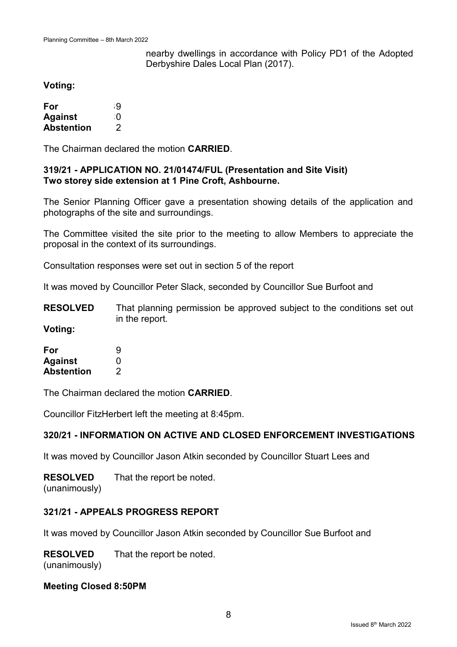nearby dwellings in accordance with Policy PD1 of the Adopted Derbyshire Dales Local Plan (2017).

### **Voting:**

| For               | -9 |
|-------------------|----|
| <b>Against</b>    | ി  |
| <b>Abstention</b> | 2  |

The Chairman declared the motion **CARRIED**.

### **319/21 - APPLICATION NO. 21/01474/FUL (Presentation and Site Visit) Two storey side extension at 1 Pine Croft, Ashbourne.**

The Senior Planning Officer gave a presentation showing details of the application and photographs of the site and surroundings.

The Committee visited the site prior to the meeting to allow Members to appreciate the proposal in the context of its surroundings.

Consultation responses were set out in section 5 of the report

It was moved by Councillor Peter Slack, seconded by Councillor Sue Burfoot and

**RESOLVED** That planning permission be approved subject to the conditions set out in the report.

**Voting:**

| For               | 9 |
|-------------------|---|
| <b>Against</b>    | O |
| <b>Abstention</b> | 2 |

The Chairman declared the motion **CARRIED**.

Councillor FitzHerbert left the meeting at 8:45pm.

## **320/21 - INFORMATION ON ACTIVE AND CLOSED ENFORCEMENT INVESTIGATIONS**

It was moved by Councillor Jason Atkin seconded by Councillor Stuart Lees and

**RESOLVED** (unanimously) That the report be noted.

## **321/21 - APPEALS PROGRESS REPORT**

It was moved by Councillor Jason Atkin seconded by Councillor Sue Burfoot and

**RESOLVED** That the report be noted.

(unanimously)

## **Meeting Closed 8:50PM**